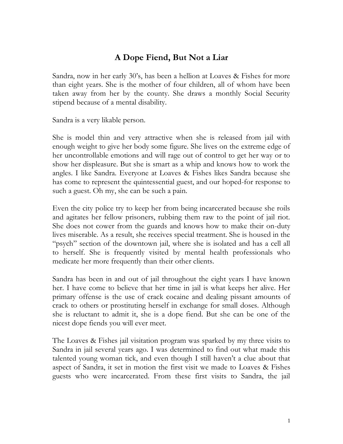## **A Dope Fiend, But Not a Liar**

Sandra, now in her early 30's, has been a hellion at Loaves & Fishes for more than eight years. She is the mother of four children, all of whom have been taken away from her by the county. She draws a monthly Social Security stipend because of a mental disability.

Sandra is a very likable person.

She is model thin and very attractive when she is released from jail with enough weight to give her body some figure. She lives on the extreme edge of her uncontrollable emotions and will rage out of control to get her way or to show her displeasure. But she is smart as a whip and knows how to work the angles. I like Sandra. Everyone at Loaves & Fishes likes Sandra because she has come to represent the quintessential guest, and our hoped-for response to such a guest. Oh my, she can be such a pain.

Even the city police try to keep her from being incarcerated because she roils and agitates her fellow prisoners, rubbing them raw to the point of jail riot. She does not cower from the guards and knows how to make their on-duty lives miserable. As a result, she receives special treatment. She is housed in the "psych" section of the downtown jail, where she is isolated and has a cell all to herself. She is frequently visited by mental health professionals who medicate her more frequently than their other clients.

Sandra has been in and out of jail throughout the eight years I have known her. I have come to believe that her time in jail is what keeps her alive. Her primary offense is the use of crack cocaine and dealing pissant amounts of crack to others or prostituting herself in exchange for small doses. Although she is reluctant to admit it, she is a dope fiend. But she can be one of the nicest dope fiends you will ever meet.

The Loaves & Fishes jail visitation program was sparked by my three visits to Sandra in jail several years ago. I was determined to find out what made this talented young woman tick, and even though I still haven't a clue about that aspect of Sandra, it set in motion the first visit we made to Loaves & Fishes guests who were incarcerated. From these first visits to Sandra, the jail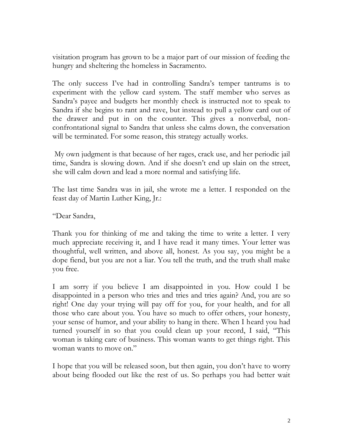visitation program has grown to be a major part of our mission of feeding the hungry and sheltering the homeless in Sacramento.

The only success I've had in controlling Sandra's temper tantrums is to experiment with the yellow card system. The staff member who serves as Sandra's payee and budgets her monthly check is instructed not to speak to Sandra if she begins to rant and rave, but instead to pull a yellow card out of the drawer and put in on the counter. This gives a nonverbal, nonconfrontational signal to Sandra that unless she calms down, the conversation will be terminated. For some reason, this strategy actually works.

My own judgment is that because of her rages, crack use, and her periodic jail time, Sandra is slowing down. And if she doesn't end up slain on the street, she will calm down and lead a more normal and satisfying life.

The last time Sandra was in jail, she wrote me a letter. I responded on the feast day of Martin Luther King, Jr.:

"Dear Sandra,

Thank you for thinking of me and taking the time to write a letter. I very much appreciate receiving it, and I have read it many times. Your letter was thoughtful, well written, and above all, honest. As you say, you might be a dope fiend, but you are not a liar. You tell the truth, and the truth shall make you free.

I am sorry if you believe I am disappointed in you. How could I be disappointed in a person who tries and tries and tries again? And, you are so right! One day your trying will pay off for you, for your health, and for all those who care about you. You have so much to offer others, your honesty, your sense of humor, and your ability to hang in there. When I heard you had turned yourself in so that you could clean up your record, I said, "This woman is taking care of business. This woman wants to get things right. This woman wants to move on."

I hope that you will be released soon, but then again, you don't have to worry about being flooded out like the rest of us. So perhaps you had better wait